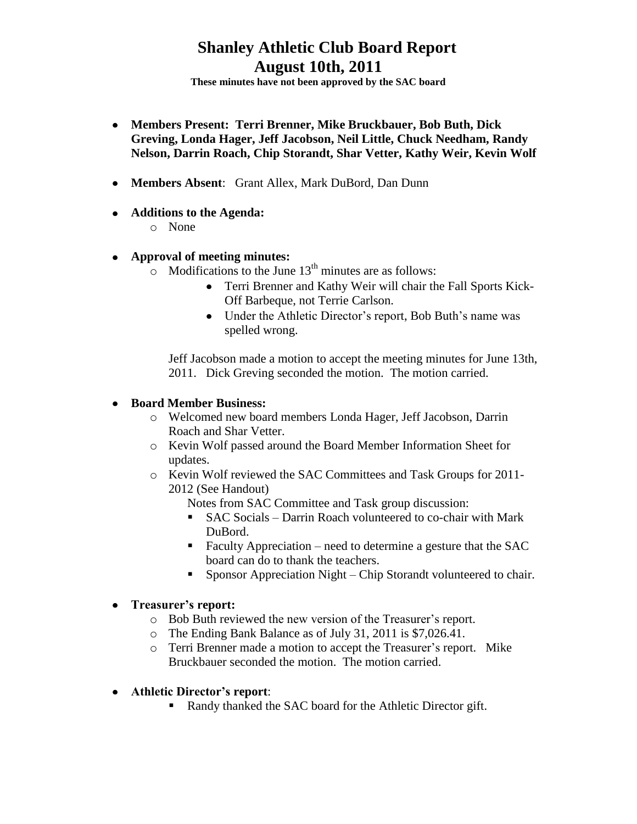**These minutes have not been approved by the SAC board**

- **Members Present: Terri Brenner, Mike Bruckbauer, Bob Buth, Dick Greving, Londa Hager, Jeff Jacobson, Neil Little, Chuck Needham, Randy Nelson, Darrin Roach, Chip Storandt, Shar Vetter, Kathy Weir, Kevin Wolf**
- **Members Absent**: Grant Allex, Mark DuBord, Dan Dunn
- **Additions to the Agenda:**
	- o None

### **Approval of meeting minutes:**

- $\circ$  Modifications to the June 13<sup>th</sup> minutes are as follows:
	- Terri Brenner and Kathy Weir will chair the Fall Sports Kick-Off Barbeque, not Terrie Carlson.
	- Under the Athletic Director's report, Bob Buth's name was spelled wrong.

Jeff Jacobson made a motion to accept the meeting minutes for June 13th, 2011. Dick Greving seconded the motion. The motion carried.

### **Board Member Business:**

- o Welcomed new board members Londa Hager, Jeff Jacobson, Darrin Roach and Shar Vetter.
- o Kevin Wolf passed around the Board Member Information Sheet for updates.
- o Kevin Wolf reviewed the SAC Committees and Task Groups for 2011- 2012 (See Handout)

Notes from SAC Committee and Task group discussion:

- SAC Socials Darrin Roach volunteered to co-chair with Mark DuBord.
- Faculty Appreciation need to determine a gesture that the SAC board can do to thank the teachers.
- Sponsor Appreciation Night Chip Storandt volunteered to chair.

#### **Treasurer's report:**

- o Bob Buth reviewed the new version of the Treasurer's report.
- o The Ending Bank Balance as of July 31, 2011 is \$7,026.41.
- o Terri Brenner made a motion to accept the Treasurer's report. Mike Bruckbauer seconded the motion. The motion carried.
- **Athletic Director's report**:
	- Randy thanked the SAC board for the Athletic Director gift.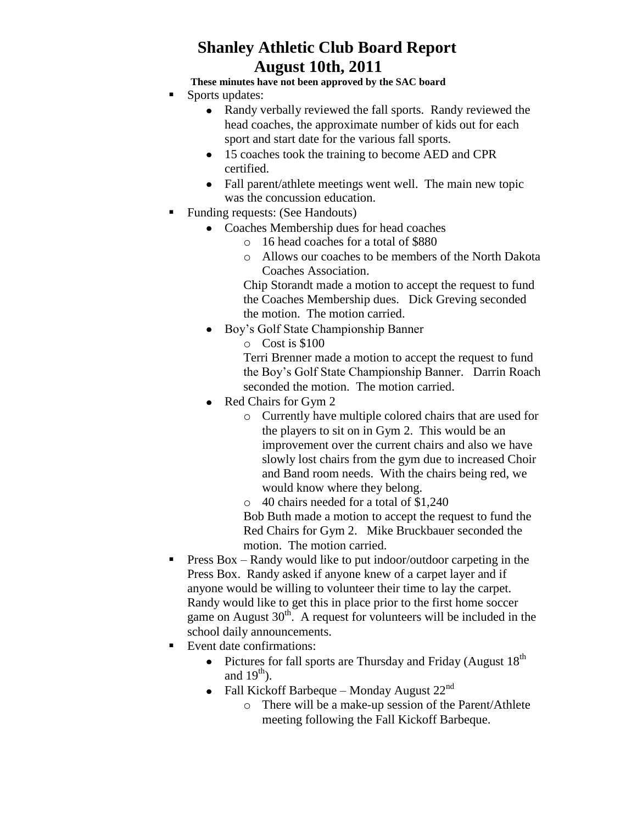**These minutes have not been approved by the SAC board**

- Sports updates:
	- Randy verbally reviewed the fall sports. Randy reviewed the head coaches, the approximate number of kids out for each sport and start date for the various fall sports.
	- 15 coaches took the training to become AED and CPR certified.
	- Fall parent/athlete meetings went well. The main new topic was the concussion education.
- Funding requests: (See Handouts)
	- Coaches Membership dues for head coaches
		- o 16 head coaches for a total of \$880
		- o Allows our coaches to be members of the North Dakota Coaches Association.

Chip Storandt made a motion to accept the request to fund the Coaches Membership dues. Dick Greving seconded the motion. The motion carried.

Boy's Golf State Championship Banner

o Cost is \$100

Terri Brenner made a motion to accept the request to fund the Boy's Golf State Championship Banner. Darrin Roach seconded the motion. The motion carried.

- Red Chairs for Gym 2
	- o Currently have multiple colored chairs that are used for the players to sit on in Gym 2. This would be an improvement over the current chairs and also we have slowly lost chairs from the gym due to increased Choir and Band room needs. With the chairs being red, we would know where they belong.
	- o 40 chairs needed for a total of \$1,240 Bob Buth made a motion to accept the request to fund the

Red Chairs for Gym 2. Mike Bruckbauer seconded the motion. The motion carried.

- **Press Box Randy would like to put indoor/outdoor carpeting in the** Press Box. Randy asked if anyone knew of a carpet layer and if anyone would be willing to volunteer their time to lay the carpet. Randy would like to get this in place prior to the first home soccer game on August  $30<sup>th</sup>$ . A request for volunteers will be included in the school daily announcements.
- Event date confirmations:
	- Pictures for fall sports are Thursday and Friday (August  $18<sup>th</sup>$ and  $19<sup>th</sup>$ ).
	- Fall Kickoff Barbeque Monday August  $22<sup>nd</sup>$ 
		- o There will be a make-up session of the Parent/Athlete meeting following the Fall Kickoff Barbeque.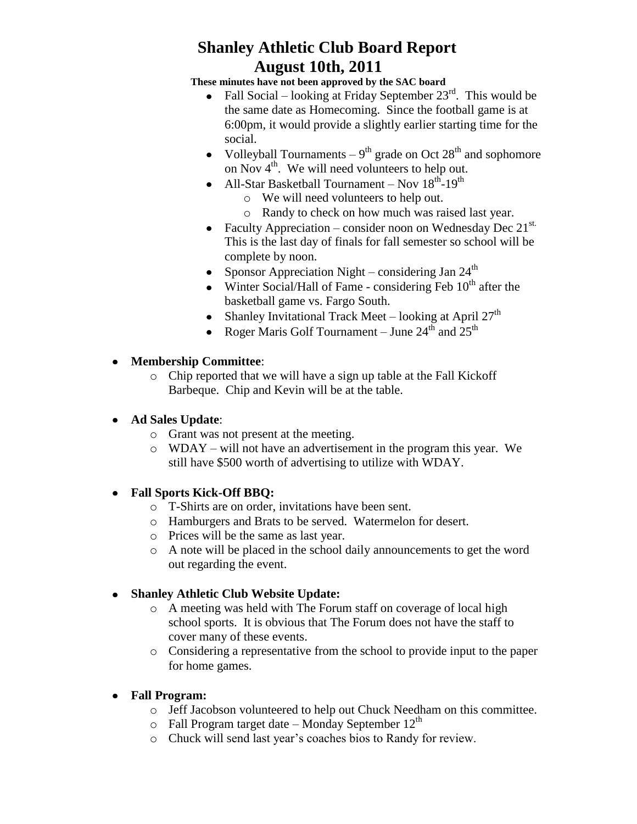**These minutes have not been approved by the SAC board**

- Fall Social looking at Friday September  $23<sup>rd</sup>$ . This would be  $\bullet$ the same date as Homecoming. Since the football game is at 6:00pm, it would provide a slightly earlier starting time for the social.
- Volleyball Tournaments  $-9<sup>th</sup>$  grade on Oct  $28<sup>th</sup>$  and sophomore on Nov  $4<sup>th</sup>$ . We will need volunteers to help out.
- All-Star Basketball Tournament Nov 18<sup>th</sup>-19<sup>th</sup>
	- o We will need volunteers to help out.
	- o Randy to check on how much was raised last year.
- Faculty Appreciation consider noon on Wednesday Dec  $21^{st.}$ This is the last day of finals for fall semester so school will be complete by noon.
- Sponsor Appreciation Night considering Jan  $24<sup>th</sup>$
- Winter Social/Hall of Fame considering Feb  $10<sup>th</sup>$  after the basketball game vs. Fargo South.
- Shanley Invitational Track Meet looking at April  $27<sup>th</sup>$
- Roger Maris Golf Tournament June  $24^{\text{th}}$  and  $25^{\text{th}}$

### **Membership Committee**:

o Chip reported that we will have a sign up table at the Fall Kickoff Barbeque. Chip and Kevin will be at the table.

## **Ad Sales Update**:

- o Grant was not present at the meeting.
- o WDAY will not have an advertisement in the program this year. We still have \$500 worth of advertising to utilize with WDAY.

## **Fall Sports Kick-Off BBQ:**

- o T-Shirts are on order, invitations have been sent.
- o Hamburgers and Brats to be served. Watermelon for desert.
- o Prices will be the same as last year.
- o A note will be placed in the school daily announcements to get the word out regarding the event.

## **Shanley Athletic Club Website Update:**

- o A meeting was held with The Forum staff on coverage of local high school sports. It is obvious that The Forum does not have the staff to cover many of these events.
- o Considering a representative from the school to provide input to the paper for home games.
- **Fall Program:** 
	- o Jeff Jacobson volunteered to help out Chuck Needham on this committee.
	- $\circ$  Fall Program target date Monday September 12<sup>th</sup>
	- o Chuck will send last year's coaches bios to Randy for review.